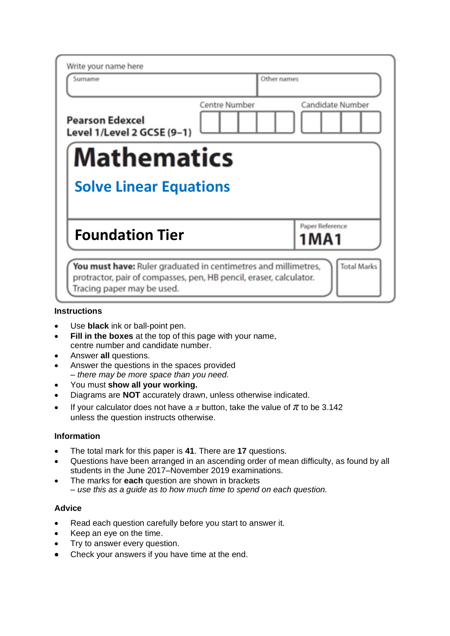| Write your name here                                 |               |                            |
|------------------------------------------------------|---------------|----------------------------|
| Surname                                              |               | Other names                |
| <b>Pearson Edexcel</b><br>Level 1/Level 2 GCSE (9-1) | Centre Number | Candidate Number           |
| <b>Mathematics</b>                                   |               |                            |
| <b>Solve Linear Equations</b>                        |               |                            |
| <b>Foundation Tier</b>                               |               | Paper Reference<br>1 M A 1 |

## **Instructions**

- Use **black** ink or ball-point pen.
- **Fill in the boxes** at the top of this page with your name, centre number and candidate number.
- Answer **all** questions.
- Answer the questions in the spaces provided *– there may be more space than you need.*
- You must **show all your working.**
- Diagrams are **NOT** accurately drawn, unless otherwise indicated.
- If your calculator does not have a  $\pi$  button, take the value of  $\pi$  to be 3.142 unless the question instructs otherwise.

## **Information**

- The total mark for this paper is **41**. There are **17** questions.
- Questions have been arranged in an ascending order of mean difficulty, as found by all students in the June 2017–November 2019 examinations.
- The marks for **each** question are shown in brackets *– use this as a guide as to how much time to spend on each question.*

## **Advice**

- Read each question carefully before you start to answer it.
- Keep an eye on the time.
- Try to answer every question.
- Check your answers if you have time at the end.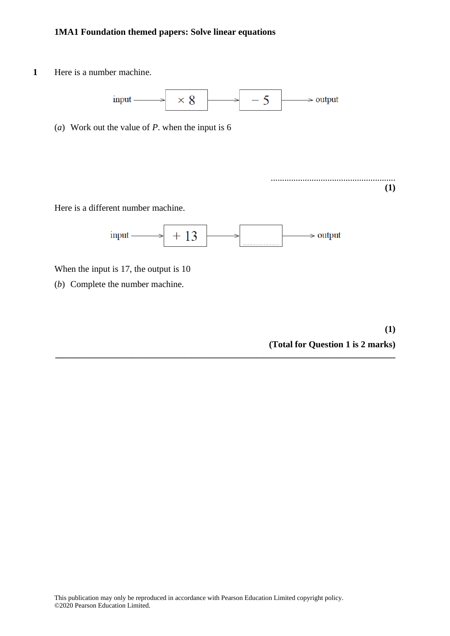**1** Here is a number machine.



(*a*) Work out the value of *P*. when the input is 6

Here is a different number machine.



**\_\_\_\_\_\_\_\_\_\_\_\_\_\_\_\_\_\_\_\_\_\_\_\_\_\_\_\_\_\_\_\_\_\_\_\_\_\_\_\_\_\_\_\_\_\_\_\_\_\_\_\_\_\_\_\_\_\_\_\_\_\_\_\_\_\_\_\_\_\_\_\_\_\_\_**

When the input is 17, the output is 10

(*b*) Complete the number machine.

**(1) (Total for Question 1 is 2 marks)**

.......................................................

**(1)**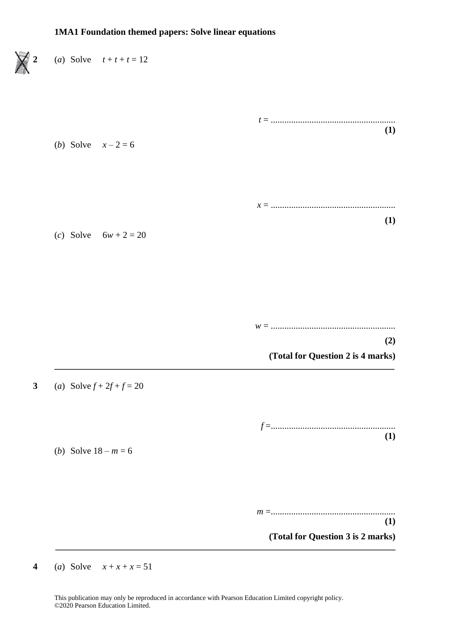

**4** (*a*) Solve  $x + x + x = 51$ 

This publication may only be reproduced in accordance with Pearson Education Limited copyright policy. ©2020 Pearson Education Limited.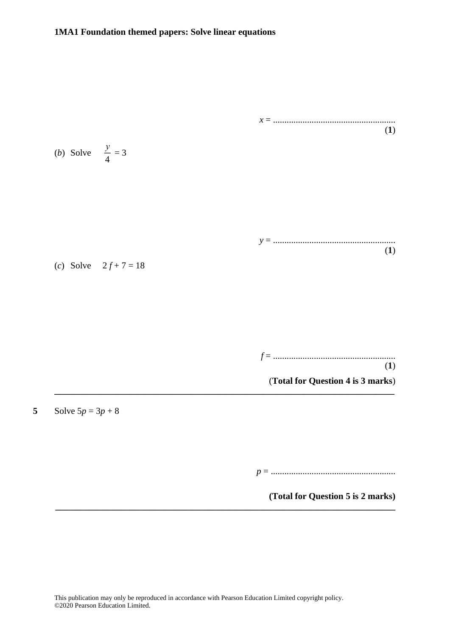

**(Total for Question 5 is 2 marks)**

**\_\_\_\_\_\_\_\_\_\_\_\_\_\_\_\_\_\_\_\_\_\_\_\_\_\_\_\_\_\_\_\_\_\_\_\_\_\_\_\_\_\_\_\_\_\_\_\_\_\_\_\_\_\_\_\_\_\_\_\_\_\_\_\_\_\_\_\_\_\_\_\_\_\_\_**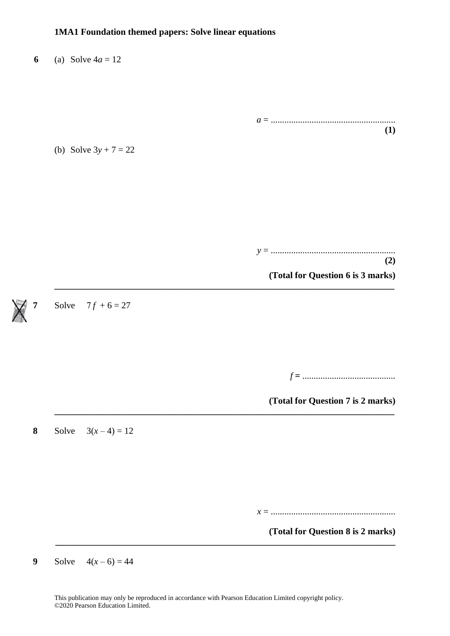|                                   | (a) Solve $4a = 12$     | 6             |
|-----------------------------------|-------------------------|---------------|
|                                   |                         |               |
|                                   |                         |               |
| (1)                               |                         |               |
|                                   | (b) Solve $3y + 7 = 22$ |               |
|                                   |                         |               |
|                                   |                         |               |
|                                   |                         |               |
| (2)                               |                         |               |
| (Total for Question 6 is 3 marks) |                         |               |
|                                   | Solve $7f + 6 = 27$     | $\bigwedge^7$ |
|                                   |                         |               |
|                                   |                         |               |
|                                   |                         |               |
| (Total for Question 7 is 2 marks) |                         |               |
|                                   | Solve $3(x-4) = 12$     | 8             |
|                                   |                         |               |
|                                   |                         |               |
|                                   |                         |               |
| (Total for Question 8 is 2 marks) |                         |               |
|                                   |                         |               |

**9** Solve  $4(x-6) = 44$ 

This publication may only be reproduced in accordance with Pearson Education Limited copyright policy. ©2020 Pearson Education Limited.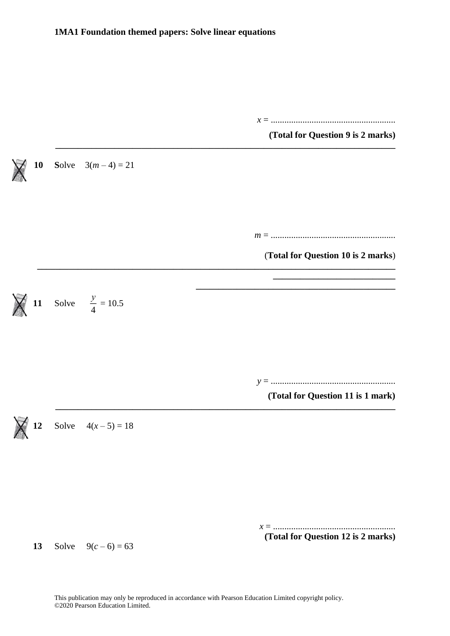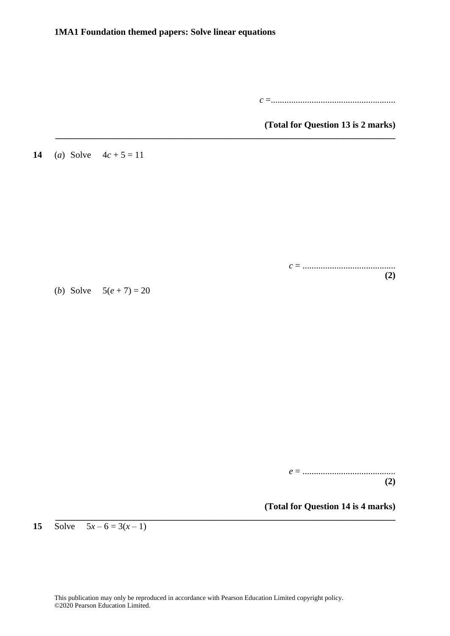**\_\_\_\_\_\_\_\_\_\_\_\_\_\_\_\_\_\_\_\_\_\_\_\_\_\_\_\_\_\_\_\_\_\_\_\_\_\_\_\_\_\_\_\_\_\_\_\_\_\_\_\_\_\_\_\_\_\_\_\_\_\_\_\_\_\_\_\_\_\_\_\_\_\_\_**

*c* =.......................................................

**(Total for Question 13 is 2 marks)**

**14** (*a*) Solve  $4c + 5 = 11$ 

*c* = ......................................... **(2)**

(*b*) Solve  $5(e + 7) = 20$ 

*e* = ......................................... **(2)**

**(Total for Question 14 is 4 marks)**

**15** Solve  $5x-6=3(x-1)$ 

**\_\_\_\_\_\_\_\_\_\_\_\_\_\_\_\_\_\_\_\_\_\_\_\_\_\_\_\_\_\_\_\_\_\_\_\_\_\_\_\_\_\_\_\_\_\_\_\_\_\_\_\_\_\_\_\_\_\_\_\_\_\_\_\_\_\_\_\_\_\_\_\_\_\_\_**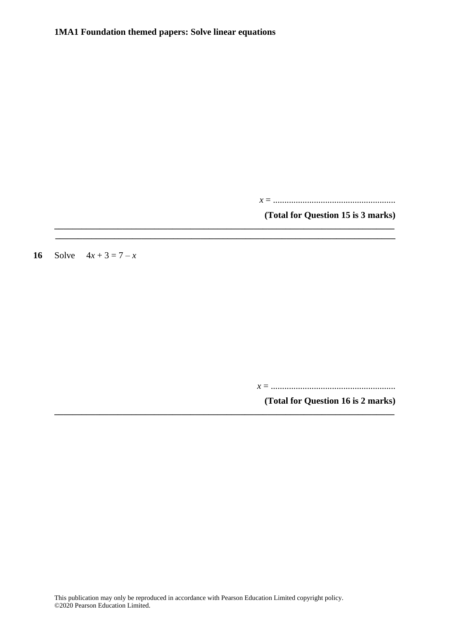**\_\_\_\_\_\_\_\_\_\_\_\_\_\_\_\_\_\_\_\_\_\_\_\_\_\_\_\_\_\_\_\_\_\_\_\_\_\_\_\_\_\_\_\_\_\_\_\_\_\_\_\_\_\_\_\_\_\_\_\_\_\_\_\_\_\_\_\_\_\_\_\_\_\_\_ \_\_\_\_\_\_\_\_\_\_\_\_\_\_\_\_\_\_\_\_\_\_\_\_\_\_\_\_\_\_\_\_\_\_\_\_\_\_\_\_\_\_\_\_\_\_\_\_\_\_\_\_\_\_\_\_\_\_\_\_\_\_\_\_\_\_\_\_\_\_\_\_\_\_\_**

**\_\_\_\_\_\_\_\_\_\_\_\_\_\_\_\_\_\_\_\_\_\_\_\_\_\_\_\_\_\_\_\_\_\_\_\_\_\_\_\_\_\_\_\_\_\_\_\_\_\_\_\_\_\_\_\_\_\_\_\_\_\_\_\_\_\_\_\_\_\_\_\_\_\_\_**

*x* = ......................................................

**(Total for Question 15 is 3 marks)**

**16** Solve  $4x + 3 = 7 - x$ 

*x* = .......................................................

**(Total for Question 16 is 2 marks)**